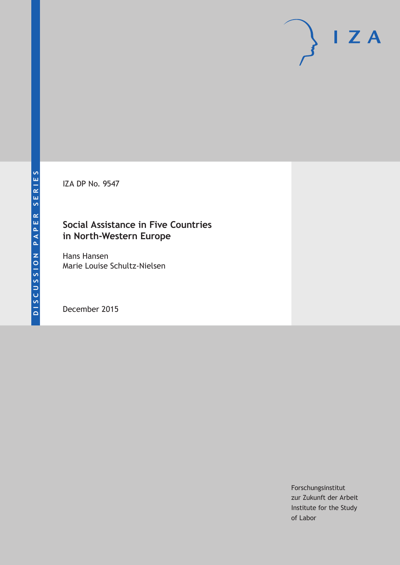IZA DP No. 9547

## **Social Assistance in Five Countries in North-Western Europe**

Hans Hansen Marie Louise Schultz-Nielsen

December 2015

Forschungsinstitut zur Zukunft der Arbeit Institute for the Study of Labor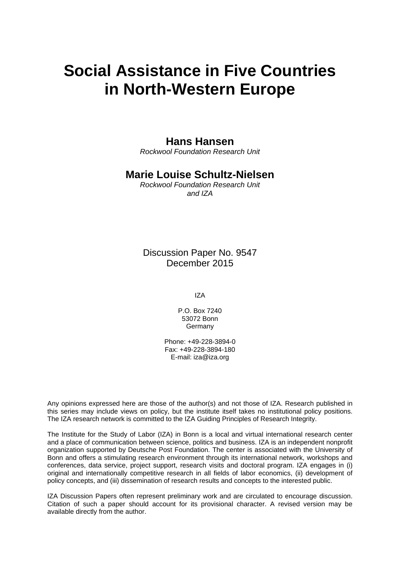# **Social Assistance in Five Countries in North-Western Europe**

### **Hans Hansen**

*Rockwool Foundation Research Unit* 

### **Marie Louise Schultz-Nielsen**

*Rockwool Foundation Research Unit and IZA* 

Discussion Paper No. 9547 December 2015

IZA

P.O. Box 7240 53072 Bonn **Germany** 

Phone: +49-228-3894-0 Fax: +49-228-3894-180 E-mail: iza@iza.org

Any opinions expressed here are those of the author(s) and not those of IZA. Research published in this series may include views on policy, but the institute itself takes no institutional policy positions. The IZA research network is committed to the IZA Guiding Principles of Research Integrity.

The Institute for the Study of Labor (IZA) in Bonn is a local and virtual international research center and a place of communication between science, politics and business. IZA is an independent nonprofit organization supported by Deutsche Post Foundation. The center is associated with the University of Bonn and offers a stimulating research environment through its international network, workshops and conferences, data service, project support, research visits and doctoral program. IZA engages in (i) original and internationally competitive research in all fields of labor economics, (ii) development of policy concepts, and (iii) dissemination of research results and concepts to the interested public.

IZA Discussion Papers often represent preliminary work and are circulated to encourage discussion. Citation of such a paper should account for its provisional character. A revised version may be available directly from the author.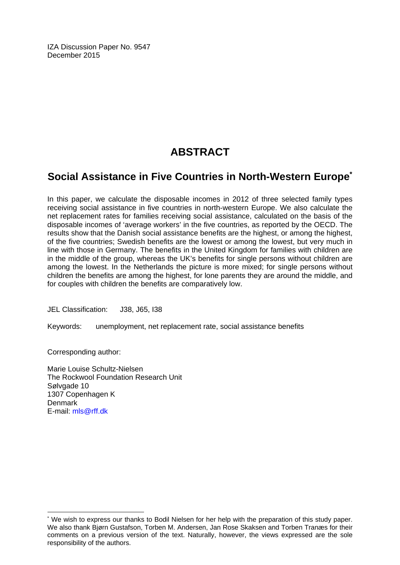IZA Discussion Paper No. 9547 December 2015

# **ABSTRACT**

# **Social Assistance in Five Countries in North-Western Europe\***

In this paper, we calculate the disposable incomes in 2012 of three selected family types receiving social assistance in five countries in north-western Europe. We also calculate the net replacement rates for families receiving social assistance, calculated on the basis of the disposable incomes of 'average workers' in the five countries, as reported by the OECD. The results show that the Danish social assistance benefits are the highest, or among the highest, of the five countries; Swedish benefits are the lowest or among the lowest, but very much in line with those in Germany. The benefits in the United Kingdom for families with children are in the middle of the group, whereas the UK's benefits for single persons without children are among the lowest. In the Netherlands the picture is more mixed; for single persons without children the benefits are among the highest, for lone parents they are around the middle, and for couples with children the benefits are comparatively low.

JEL Classification: J38, J65, I38

Keywords: unemployment, net replacement rate, social assistance benefits

Corresponding author:

 $\overline{a}$ 

Marie Louise Schultz-Nielsen The Rockwool Foundation Research Unit Sølvgade 10 1307 Copenhagen K Denmark E-mail: mls@rff.dk

<sup>\*</sup> We wish to express our thanks to Bodil Nielsen for her help with the preparation of this study paper. We also thank Bjørn Gustafson, Torben M. Andersen, Jan Rose Skaksen and Torben Tranæs for their comments on a previous version of the text. Naturally, however, the views expressed are the sole responsibility of the authors.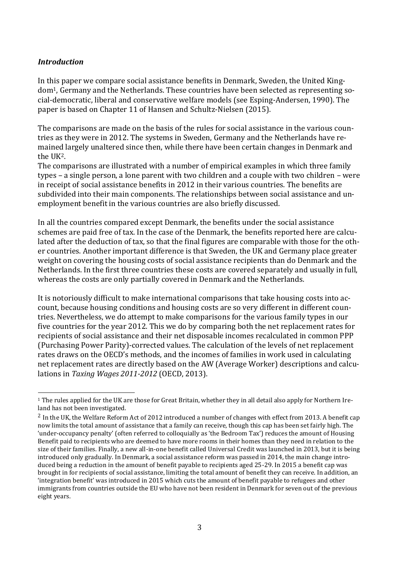#### *Introduction*

In this paper we compare social assistance benefits in Denmark, Sweden, the United Kingdom1, Germany and the Netherlands. These countries have been selected as representing social-democratic, liberal and conservative welfare models (see Esping-Andersen, 1990). The paper is based on Chapter 11 of Hansen and Schultz-Nielsen (2015).

The comparisons are made on the basis of the rules for social assistance in the various countries as they were in 2012. The systems in Sweden, Germany and the Netherlands have remained largely unaltered since then, while there have been certain changes in Denmark and the UK2.

The comparisons are illustrated with a number of empirical examples in which three family types – a single person, a lone parent with two children and a couple with two children – were in receipt of social assistance benefits in 2012 in their various countries. The benefits are subdivided into their main components. The relationships between social assistance and unemployment benefit in the various countries are also briefly discussed.

In all the countries compared except Denmark, the benefits under the social assistance schemes are paid free of tax. In the case of the Denmark, the benefits reported here are calculated after the deduction of tax, so that the final figures are comparable with those for the other countries. Another important difference is that Sweden, the UK and Germany place greater weight on covering the housing costs of social assistance recipients than do Denmark and the Netherlands. In the first three countries these costs are covered separately and usually in full, whereas the costs are only partially covered in Denmark and the Netherlands.

It is notoriously difficult to make international comparisons that take housing costs into account, because housing conditions and housing costs are so very different in different countries. Nevertheless, we do attempt to make comparisons for the various family types in our five countries for the year 2012. This we do by comparing both the net replacement rates for recipients of social assistance and their net disposable incomes recalculated in common PPP (Purchasing Power Parity)-corrected values. The calculation of the levels of net replacement rates draws on the OECD's methods, and the incomes of families in work used in calculating net replacement rates are directly based on the AW (Average Worker) descriptions and calculations in *Taxing Wages 2011-2012* (OECD, 2013).

 $\overline{a}$ <sup>1</sup> The rules applied for the UK are those for Great Britain, whether they in all detail also apply for Northern Ireland has not been investigated.

<sup>2</sup> In the UK, the Welfare Reform Act of 2012 introduced a number of changes with effect from 2013. A benefit cap now limits the total amount of assistance that a family can receive, though this cap has been set fairly high. The 'under-occupancy penalty' (often referred to colloquially as 'the Bedroom Tax') reduces the amount of Housing Benefit paid to recipients who are deemed to have more rooms in their homes than they need in relation to the size of their families. Finally, a new all-in-one benefit called Universal Credit was launched in 2013, but it is being introduced only gradually. In Denmark, a social assistance reform was passed in 2014, the main change introduced being a reduction in the amount of benefit payable to recipients aged 25-29. In 2015 a benefit cap was brought in for recipients of social assistance, limiting the total amount of benefit they can receive. In addition, an 'integration benefit' was introduced in 2015 which cuts the amount of benefit payable to refugees and other immigrants from countries outside the EU who have not been resident in Denmark for seven out of the previous eight years.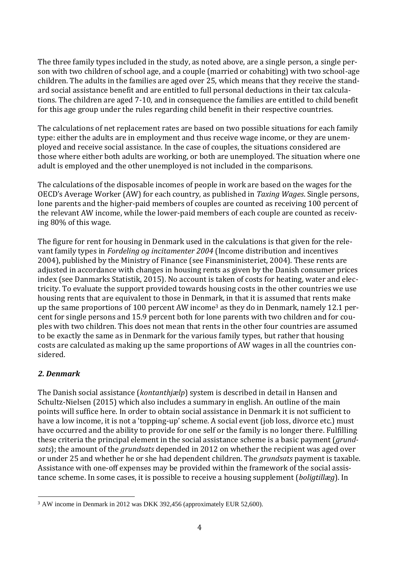The three family types included in the study, as noted above, are a single person, a single person with two children of school age, and a couple (married or cohabiting) with two school-age children. The adults in the families are aged over 25, which means that they receive the standard social assistance benefit and are entitled to full personal deductions in their tax calculations. The children are aged 7-10, and in consequence the families are entitled to child benefit for this age group under the rules regarding child benefit in their respective countries.

The calculations of net replacement rates are based on two possible situations for each family type: either the adults are in employment and thus receive wage income, or they are unemployed and receive social assistance. In the case of couples, the situations considered are those where either both adults are working, or both are unemployed. The situation where one adult is employed and the other unemployed is not included in the comparisons.

The calculations of the disposable incomes of people in work are based on the wages for the OECD's Average Worker (AW) for each country, as published in *Taxing Wages*. Single persons, lone parents and the higher-paid members of couples are counted as receiving 100 percent of the relevant AW income, while the lower-paid members of each couple are counted as receiving 80% of this wage.

The figure for rent for housing in Denmark used in the calculations is that given for the relevant family types in *Fordeling og incitamenter 2004* (Income distribution and incentives 2004), published by the Ministry of Finance (see Finansministeriet, 2004). These rents are adjusted in accordance with changes in housing rents as given by the Danish consumer prices index (see Danmarks Statistik, 2015). No account is taken of costs for heating, water and electricity. To evaluate the support provided towards housing costs in the other countries we use housing rents that are equivalent to those in Denmark, in that it is assumed that rents make up the same proportions of 100 percent AW income<sup>3</sup> as they do in Denmark, namely 12.1 percent for single persons and 15.9 percent both for lone parents with two children and for couples with two children. This does not mean that rents in the other four countries are assumed to be exactly the same as in Denmark for the various family types, but rather that housing costs are calculated as making up the same proportions of AW wages in all the countries considered.

#### *2. Denmark*

The Danish social assistance (*kontanthjælp*) system is described in detail in Hansen and Schultz-Nielsen (2015) which also includes a summary in english. An outline of the main points will suffice here. In order to obtain social assistance in Denmark it is not sufficient to have a low income, it is not a 'topping-up' scheme. A social event (job loss, divorce etc.) must have occurred and the ability to provide for one self or the family is no longer there. Fulfilling these criteria the principal element in the social assistance scheme is a basic payment (*grundsats*); the amount of the *grundsats* depended in 2012 on whether the recipient was aged over or under 25 and whether he or she had dependent children. The *grundsats* payment is taxable. Assistance with one-off expenses may be provided within the framework of the social assistance scheme. In some cases, it is possible to receive a housing supplement (*boligtillæg*). In

 $\overline{a}$ <sup>3</sup> AW income in Denmark in 2012 was DKK 392,456 (approximately EUR 52,600).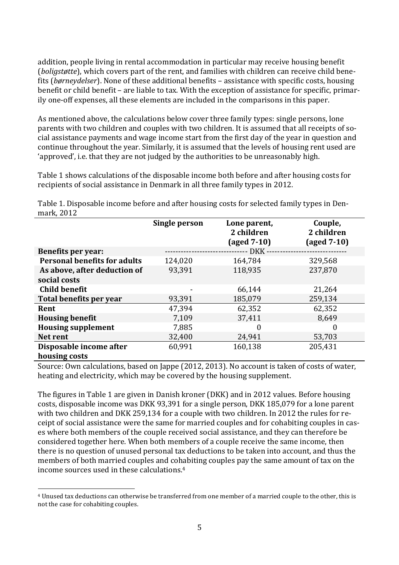addition, people living in rental accommodation in particular may receive housing benefit (*boligstøtte*), which covers part of the rent, and families with children can receive child benefits (*børneydelser*). None of these additional benefits – assistance with specific costs, housing benefit or child benefit – are liable to tax. With the exception of assistance for specific, primarily one-off expenses, all these elements are included in the comparisons in this paper.

As mentioned above, the calculations below cover three family types: single persons, lone parents with two children and couples with two children. It is assumed that all receipts of social assistance payments and wage income start from the first day of the year in question and continue throughout the year. Similarly, it is assumed that the levels of housing rent used are 'approved', i.e. that they are not judged by the authorities to be unreasonably high.

Table 1 shows calculations of the disposable income both before and after housing costs for recipients of social assistance in Denmark in all three family types in 2012.

Table 1. Disposable income before and after housing costs for selected family types in Denmark, 2012

|                                              | <b>Single person</b> | Lone parent,<br>2 children<br>$\left(\text{aged } 7-10\right)$ | Couple,<br>2 children<br>$\left(\text{aged } 7-10\right)$ |
|----------------------------------------------|----------------------|----------------------------------------------------------------|-----------------------------------------------------------|
| <b>Benefits per year:</b>                    |                      | - DKK -                                                        |                                                           |
| <b>Personal benefits for adults</b>          | 124,020              | 164,784                                                        | 329,568                                                   |
| As above, after deduction of<br>social costs | 93,391               | 118,935                                                        | 237,870                                                   |
| <b>Child benefit</b>                         |                      | 66,144                                                         | 21,264                                                    |
| Total benefits per year                      | 93,391               | 185,079                                                        | 259,134                                                   |
| Rent                                         | 47,394               | 62,352                                                         | 62,352                                                    |
| <b>Housing benefit</b>                       | 7,109                | 37,411                                                         | 8,649                                                     |
| <b>Housing supplement</b>                    | 7,885                | 0                                                              | $\boldsymbol{0}$                                          |
| Net rent                                     | 32,400               | 24,941                                                         | 53,703                                                    |
| Disposable income after                      | 60,991               | 160,138                                                        | 205,431                                                   |
| housing costs                                |                      |                                                                |                                                           |

Source: Own calculations, based on Jappe (2012, 2013). No account is taken of costs of water, heating and electricity, which may be covered by the housing supplement.

The figures in Table 1 are given in Danish kroner (DKK) and in 2012 values. Before housing costs, disposable income was DKK 93,391 for a single person, DKK 185,079 for a lone parent with two children and DKK 259,134 for a couple with two children. In 2012 the rules for receipt of social assistance were the same for married couples and for cohabiting couples in cases where both members of the couple received social assistance, and they can therefore be considered together here. When both members of a couple receive the same income, then there is no question of unused personal tax deductions to be taken into account, and thus the members of both married couples and cohabiting couples pay the same amount of tax on the income sources used in these calculations.<sup>4</sup>

 $\overline{a}$ 

<sup>4</sup> Unused tax deductions can otherwise be transferred from one member of a married couple to the other, this is not the case for cohabiting couples.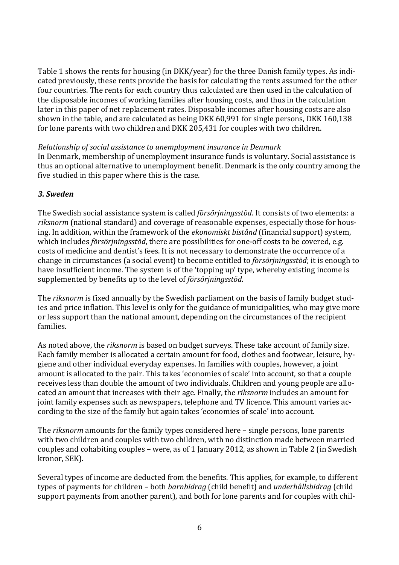Table 1 shows the rents for housing (in DKK/year) for the three Danish family types. As indicated previously, these rents provide the basis for calculating the rents assumed for the other four countries. The rents for each country thus calculated are then used in the calculation of the disposable incomes of working families after housing costs, and thus in the calculation later in this paper of net replacement rates. Disposable incomes after housing costs are also shown in the table, and are calculated as being DKK 60,991 for single persons, DKK 160,138 for lone parents with two children and DKK 205,431 for couples with two children.

*Relationship of social assistance to unemployment insurance in Denmark* In Denmark, membership of unemployment insurance funds is voluntary. Social assistance is thus an optional alternative to unemployment benefit. Denmark is the only country among the five studied in this paper where this is the case.

#### *3. Sweden*

The Swedish social assistance system is called *försörjningsstöd*. It consists of two elements: a *riksnorm* (national standard) and coverage of reasonable expenses, especially those for housing. In addition, within the framework of the *ekonomiskt bistånd* (financial support) system, which includes *försörjningsstöd*, there are possibilities for one-off costs to be covered, e.g. costs of medicine and dentist's fees. It is not necessary to demonstrate the occurrence of a change in circumstances (a social event) to become entitled to *försörjningsstöd*; it is enough to have insufficient income. The system is of the 'topping up' type, whereby existing income is supplemented by benefits up to the level of *försörjningsstöd*.

The *riksnorm* is fixed annually by the Swedish parliament on the basis of family budget studies and price inflation. This level is only for the guidance of municipalities, who may give more or less support than the national amount, depending on the circumstances of the recipient families.

As noted above, the *riksnorm* is based on budget surveys. These take account of family size. Each family member is allocated a certain amount for food, clothes and footwear, leisure, hygiene and other individual everyday expenses. In families with couples, however, a joint amount is allocated to the pair. This takes 'economies of scale' into account, so that a couple receives less than double the amount of two individuals. Children and young people are allocated an amount that increases with their age. Finally, the *riksnorm* includes an amount for joint family expenses such as newspapers, telephone and TV licence. This amount varies according to the size of the family but again takes 'economies of scale' into account.

The *riksnorm* amounts for the family types considered here – single persons, lone parents with two children and couples with two children, with no distinction made between married couples and cohabiting couples – were, as of 1 January 2012, as shown in Table 2 (in Swedish kronor, SEK).

Several types of income are deducted from the benefits. This applies, for example, to different types of payments for children – both *barnbidrag* (child benefit) and *underhållsbidrag* (child support payments from another parent), and both for lone parents and for couples with chil-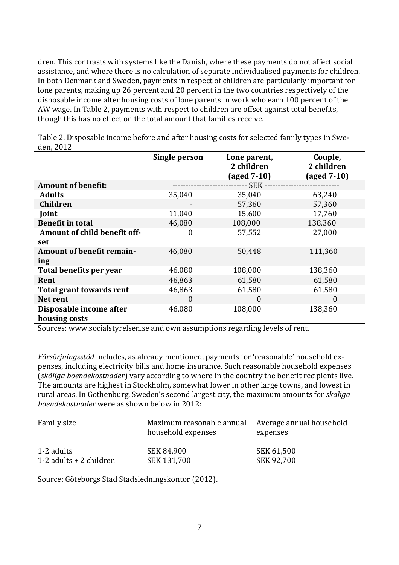dren. This contrasts with systems like the Danish, where these payments do not affect social assistance, and where there is no calculation of separate individualised payments for children. In both Denmark and Sweden, payments in respect of children are particularly important for lone parents, making up 26 percent and 20 percent in the two countries respectively of the disposable income after housing costs of lone parents in work who earn 100 percent of the AW wage. In Table 2, payments with respect to children are offset against total benefits, though this has no effect on the total amount that families receive.

|                                  | Single person | Lone parent,<br>2 children | Couple,<br>2 children |
|----------------------------------|---------------|----------------------------|-----------------------|
|                                  |               | $(\text{aged }7-10)$       | $\text{(aged 7-10)}$  |
| <b>Amount of benefit:</b>        |               | -- SEK ---                 |                       |
| <b>Adults</b>                    | 35,040        | 35,040                     | 63,240                |
| <b>Children</b>                  |               | 57,360                     | 57,360                |
| Joint                            | 11,040        | 15,600                     | 17,760                |
| <b>Benefit in total</b>          | 46,080        | 108,000                    | 138,360               |
| Amount of child benefit off-     | 0             | 57,552                     | 27,000                |
| set                              |               |                            |                       |
| <b>Amount of benefit remain-</b> | 46,080        | 50,448                     | 111,360               |
| ing                              |               |                            |                       |
| Total benefits per year          | 46,080        | 108,000                    | 138,360               |
| Rent                             | 46,863        | 61,580                     | 61,580                |
| <b>Total grant towards rent</b>  | 46,863        | 61,580                     | 61,580                |
| Net rent                         | 0             | $\boldsymbol{0}$           | $\theta$              |
| Disposable income after          | 46,080        | 108,000                    | 138,360               |
| housing costs                    |               |                            |                       |

Table 2. Disposable income before and after housing costs for selected family types in Sweden, 2012

Sources: www.socialstyrelsen.se and own assumptions regarding levels of rent.

*Försörjningsstöd* includes, as already mentioned, payments for 'reasonable' household expenses, including electricity bills and home insurance. Such reasonable household expenses (*skäliga boendekostnader*) vary according to where in the country the benefit recipients live. The amounts are highest in Stockholm, somewhat lower in other large towns, and lowest in rural areas. In Gothenburg, Sweden's second largest city, the maximum amounts for *skäliga boendekostnader* were as shown below in 2012:

| Family size               | Maximum reasonable annual<br>household expenses | Average annual household<br>expenses |
|---------------------------|-------------------------------------------------|--------------------------------------|
| 1-2 adults                | SEK 84,900                                      | SEK 61,500                           |
| 1-2 adults $+$ 2 children | SEK 131,700                                     | <b>SEK 92,700</b>                    |

Source: Göteborgs Stad Stadsledningskontor (2012).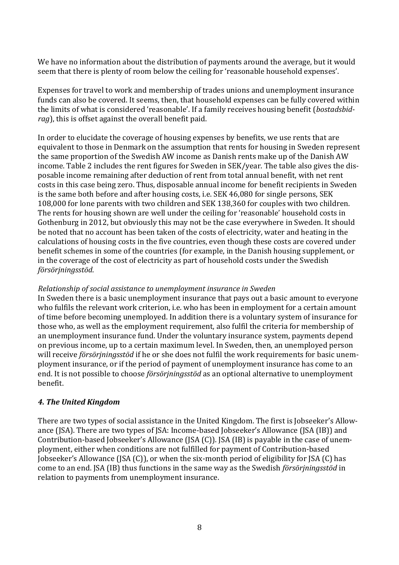We have no information about the distribution of payments around the average, but it would seem that there is plenty of room below the ceiling for 'reasonable household expenses'.

Expenses for travel to work and membership of trades unions and unemployment insurance funds can also be covered. It seems, then, that household expenses can be fully covered within the limits of what is considered 'reasonable'. If a family receives housing benefit (*bostadsbidrag*), this is offset against the overall benefit paid.

In order to elucidate the coverage of housing expenses by benefits, we use rents that are equivalent to those in Denmark on the assumption that rents for housing in Sweden represent the same proportion of the Swedish AW income as Danish rents make up of the Danish AW income. Table 2 includes the rent figures for Sweden in SEK/year. The table also gives the disposable income remaining after deduction of rent from total annual benefit, with net rent costs in this case being zero. Thus, disposable annual income for benefit recipients in Sweden is the same both before and after housing costs, i.e. SEK 46,080 for single persons, SEK 108,000 for lone parents with two children and SEK 138,360 for couples with two children. The rents for housing shown are well under the ceiling for 'reasonable' household costs in Gothenburg in 2012, but obviously this may not be the case everywhere in Sweden. It should be noted that no account has been taken of the costs of electricity, water and heating in the calculations of housing costs in the five countries, even though these costs are covered under benefit schemes in some of the countries (for example, in the Danish housing supplement, or in the coverage of the cost of electricity as part of household costs under the Swedish *försörjningsstöd*.

#### *Relationship of social assistance to unemployment insurance in Sweden*

In Sweden there is a basic unemployment insurance that pays out a basic amount to everyone who fulfils the relevant work criterion, i.e. who has been in employment for a certain amount of time before becoming unemployed. In addition there is a voluntary system of insurance for those who, as well as the employment requirement, also fulfil the criteria for membership of an unemployment insurance fund. Under the voluntary insurance system, payments depend on previous income, up to a certain maximum level. In Sweden, then, an unemployed person will receive *försörjningsstöd* if he or she does not fulfil the work requirements for basic unemployment insurance, or if the period of payment of unemployment insurance has come to an end. It is not possible to choose *försörjningsstöd* as an optional alternative to unemployment benefit.

#### *4. The United Kingdom*

There are two types of social assistance in the United Kingdom. The first is Jobseeker's Allowance (JSA). There are two types of JSA: Income-based Jobseeker's Allowance (JSA (IB)) and Contribution-based Jobseeker's Allowance (JSA (C)). JSA (IB) is payable in the case of unemployment, either when conditions are not fulfilled for payment of Contribution-based Jobseeker's Allowance (JSA (C)), or when the six-month period of eligibility for JSA (C) has come to an end. JSA (IB) thus functions in the same way as the Swedish *försörjningsstöd* in relation to payments from unemployment insurance.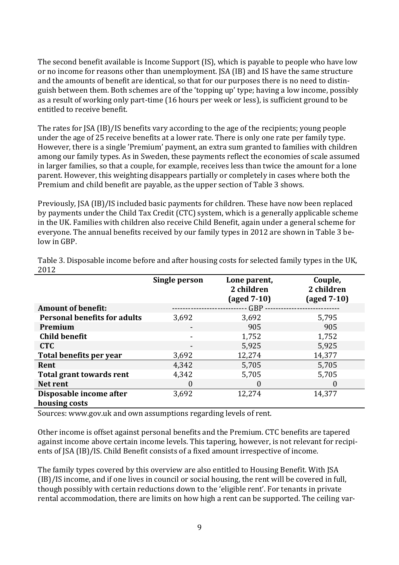The second benefit available is Income Support (IS), which is payable to people who have low or no income for reasons other than unemployment. JSA (IB) and IS have the same structure and the amounts of benefit are identical, so that for our purposes there is no need to distinguish between them. Both schemes are of the 'topping up' type; having a low income, possibly as a result of working only part-time (16 hours per week or less), is sufficient ground to be entitled to receive benefit.

The rates for JSA (IB)/IS benefits vary according to the age of the recipients; young people under the age of 25 receive benefits at a lower rate. There is only one rate per family type. However, there is a single 'Premium' payment, an extra sum granted to families with children among our family types. As in Sweden, these payments reflect the economies of scale assumed in larger families, so that a couple, for example, receives less than twice the amount for a lone parent. However, this weighting disappears partially or completely in cases where both the Premium and child benefit are payable, as the upper section of Table 3 shows.

Previously, JSA (IB)/IS included basic payments for children. These have now been replaced by payments under the Child Tax Credit (CTC) system, which is a generally applicable scheme in the UK. Families with children also receive Child Benefit, again under a general scheme for everyone. The annual benefits received by our family types in 2012 are shown in Table 3 below in GBP.

|                                     | Single person            | Lone parent,<br>2 children<br>$\left(\text{aged } 7-10\right)$ | Couple,<br>2 children<br>(aged 7-10) |
|-------------------------------------|--------------------------|----------------------------------------------------------------|--------------------------------------|
| <b>Amount of benefit:</b>           |                          | $GBP -$                                                        |                                      |
| <b>Personal benefits for adults</b> | 3,692                    | 3,692                                                          | 5,795                                |
| Premium                             |                          | 905                                                            | 905                                  |
| <b>Child benefit</b>                |                          | 1,752                                                          | 1,752                                |
| <b>CTC</b>                          | $\overline{\phantom{a}}$ | 5,925                                                          | 5,925                                |
| Total benefits per year             | 3,692                    | 12,274                                                         | 14,377                               |
| Rent                                | 4,342                    | 5,705                                                          | 5,705                                |
| Total grant towards rent            | 4,342                    | 5,705                                                          | 5,705                                |
| Net rent                            | $\theta$                 | 0                                                              | $\theta$                             |
| Disposable income after             | 3,692                    | 12,274                                                         | 14,377                               |
| housing costs                       |                          |                                                                |                                      |

Table 3. Disposable income before and after housing costs for selected family types in the UK, 2012

Sources: www.gov.uk and own assumptions regarding levels of rent.

Other income is offset against personal benefits and the Premium. CTC benefits are tapered against income above certain income levels. This tapering, however, is not relevant for recipients of JSA (IB)/IS. Child Benefit consists of a fixed amount irrespective of income.

The family types covered by this overview are also entitled to Housing Benefit. With JSA (IB)/IS income, and if one lives in council or social housing, the rent will be covered in full, though possibly with certain reductions down to the 'eligible rent'. For tenants in private rental accommodation, there are limits on how high a rent can be supported. The ceiling var-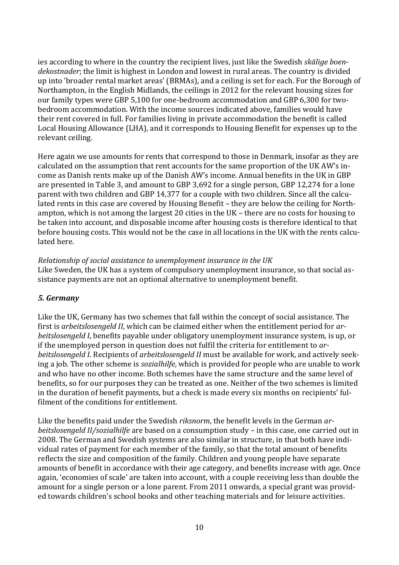ies according to where in the country the recipient lives, just like the Swedish *skälige boendekostnader*; the limit is highest in London and lowest in rural areas. The country is divided up into 'broader rental market areas' (BRMAs), and a ceiling is set for each. For the Borough of Northampton, in the English Midlands, the ceilings in 2012 for the relevant housing sizes for our family types were GBP 5,100 for one-bedroom accommodation and GBP 6,300 for twobedroom accommodation. With the income sources indicated above, families would have their rent covered in full. For families living in private accommodation the benefit is called Local Housing Allowance (LHA), and it corresponds to Housing Benefit for expenses up to the relevant ceiling.

Here again we use amounts for rents that correspond to those in Denmark, insofar as they are calculated on the assumption that rent accounts for the same proportion of the UK AW's income as Danish rents make up of the Danish AW's income. Annual benefits in the UK in GBP are presented in Table 3, and amount to GBP 3,692 for a single person, GBP 12,274 for a lone parent with two children and GBP 14,377 for a couple with two children. Since all the calculated rents in this case are covered by Housing Benefit – they are below the ceiling for Northampton, which is not among the largest 20 cities in the UK – there are no costs for housing to be taken into account, and disposable income after housing costs is therefore identical to that before housing costs. This would not be the case in all locations in the UK with the rents calculated here.

*Relationship of social assistance to unemployment insurance in the UK* Like Sweden, the UK has a system of compulsory unemployment insurance, so that social assistance payments are not an optional alternative to unemployment benefit.

#### *5. Germany*

Like the UK, Germany has two schemes that fall within the concept of social assistance. The first is *arbeitslosengeld II*, which can be claimed either when the entitlement period for *arbeitslosengeld I*, benefits payable under obligatory unemployment insurance system, is up, or if the unemployed person in question does not fulfil the criteria for entitlement to *arbeitslosengeld I*. Recipients of *arbeitslosengeld II* must be available for work, and actively seeking a job. The other scheme is *sozialhilfe*, which is provided for people who are unable to work and who have no other income. Both schemes have the same structure and the same level of benefits, so for our purposes they can be treated as one. Neither of the two schemes is limited in the duration of benefit payments, but a check is made every six months on recipients' fulfilment of the conditions for entitlement.

Like the benefits paid under the Swedish *riksnorm*, the benefit levels in the German *arbeitslosengeld II/sozialhilfe* are based on a consumption study – in this case, one carried out in 2008. The German and Swedish systems are also similar in structure, in that both have individual rates of payment for each member of the family, so that the total amount of benefits reflects the size and composition of the family. Children and young people have separate amounts of benefit in accordance with their age category, and benefits increase with age. Once again, 'economies of scale' are taken into account, with a couple receiving less than double the amount for a single person or a lone parent. From 2011 onwards, a special grant was provided towards children's school books and other teaching materials and for leisure activities.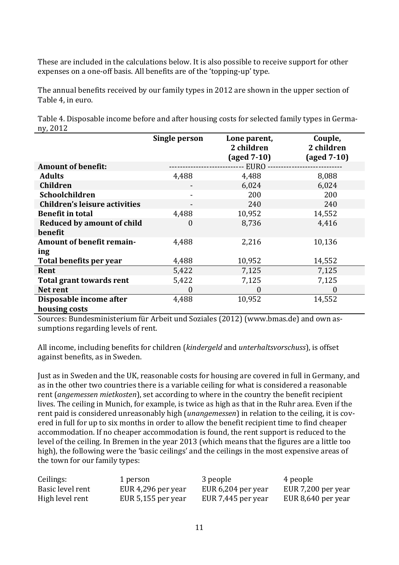These are included in the calculations below. It is also possible to receive support for other expenses on a one-off basis. All benefits are of the 'topping-up' type.

The annual benefits received by our family types in 2012 are shown in the upper section of Table 4, in euro.

Table 4. Disposable income before and after housing costs for selected family types in Germany, 2012

|                                   | <b>Single person</b> | Lone parent,<br>2 children<br>$\text{(aged 7-10)}$ | Couple,<br>2 children<br>$\text{(aged 7-10)}$ |
|-----------------------------------|----------------------|----------------------------------------------------|-----------------------------------------------|
| <b>Amount of benefit:</b>         |                      | - EURO                                             |                                               |
| <b>Adults</b>                     | 4,488                | 4,488                                              | 8,088                                         |
| <b>Children</b>                   |                      | 6,024                                              | 6,024                                         |
| Schoolchildren                    |                      | 200                                                | 200                                           |
| Children's leisure activities     | -                    | 240                                                | 240                                           |
| <b>Benefit in total</b>           | 4,488                | 10,952                                             | 14,552                                        |
| <b>Reduced by amount of child</b> | 0                    | 8,736                                              | 4,416                                         |
| benefit                           |                      |                                                    |                                               |
| <b>Amount of benefit remain-</b>  | 4,488                | 2,216                                              | 10,136                                        |
| ing                               |                      |                                                    |                                               |
| Total benefits per year           | 4,488                | 10,952                                             | 14,552                                        |
| Rent                              | 5,422                | 7,125                                              | 7,125                                         |
| <b>Total grant towards rent</b>   | 5,422                | 7,125                                              | 7,125                                         |
| Net rent                          | 0                    | $\boldsymbol{0}$                                   | $\boldsymbol{0}$                              |
| Disposable income after           | 4,488                | 10,952                                             | 14,552                                        |
| housing costs                     |                      |                                                    |                                               |

Sources: Bundesministerium für Arbeit und Soziales (2012) [\(www.bmas.de\)](http://www.bmas.de/) and own assumptions regarding levels of rent.

All income, including benefits for children (*kindergeld* and *unterhaltsvorschuss*), is offset against benefits, as in Sweden.

Just as in Sweden and the UK, reasonable costs for housing are covered in full in Germany, and as in the other two countries there is a variable ceiling for what is considered a reasonable rent (*angemessen mietkosten*), set according to where in the country the benefit recipient lives. The ceiling in Munich, for example, is twice as high as that in the Ruhr area. Even if the rent paid is considered unreasonably high (*unangemessen*) in relation to the ceiling, it is covered in full for up to six months in order to allow the benefit recipient time to find cheaper accommodation. If no cheaper accommodation is found, the rent support is reduced to the level of the ceiling. In Bremen in the year 2013 (which means that the figures are a little too high), the following were the 'basic ceilings' and the ceilings in the most expensive areas of the town for our family types:

| Ceilings:        | 1 person             | 3 people           | 4 people           |
|------------------|----------------------|--------------------|--------------------|
| Basic level rent | EUR 4,296 per year   | EUR 6,204 per year | EUR 7,200 per year |
| High level rent  | EUR $5,155$ per year | EUR 7,445 per year | EUR 8,640 per year |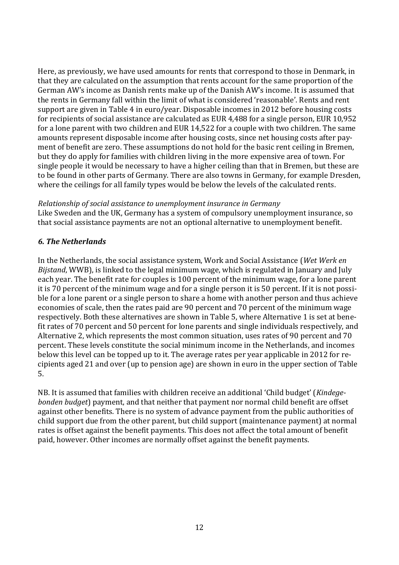Here, as previously, we have used amounts for rents that correspond to those in Denmark, in that they are calculated on the assumption that rents account for the same proportion of the German AW's income as Danish rents make up of the Danish AW's income. It is assumed that the rents in Germany fall within the limit of what is considered 'reasonable'. Rents and rent support are given in Table 4 in euro/year. Disposable incomes in 2012 before housing costs for recipients of social assistance are calculated as EUR 4,488 for a single person, EUR 10,952 for a lone parent with two children and EUR 14,522 for a couple with two children. The same amounts represent disposable income after housing costs, since net housing costs after payment of benefit are zero. These assumptions do not hold for the basic rent ceiling in Bremen, but they do apply for families with children living in the more expensive area of town. For single people it would be necessary to have a higher ceiling than that in Bremen, but these are to be found in other parts of Germany. There are also towns in Germany, for example Dresden, where the ceilings for all family types would be below the levels of the calculated rents.

#### *Relationship of social assistance to unemployment insurance in Germany*

Like Sweden and the UK, Germany has a system of compulsory unemployment insurance, so that social assistance payments are not an optional alternative to unemployment benefit.

#### *6. The Netherlands*

In the Netherlands, the social assistance system, Work and Social Assistance (*Wet Werk en Bijstand*, WWB), is linked to the legal minimum wage, which is regulated in January and July each year. The benefit rate for couples is 100 percent of the minimum wage, for a lone parent it is 70 percent of the minimum wage and for a single person it is 50 percent. If it is not possible for a lone parent or a single person to share a home with another person and thus achieve economies of scale, then the rates paid are 90 percent and 70 percent of the minimum wage respectively. Both these alternatives are shown in Table 5, where Alternative 1 is set at benefit rates of 70 percent and 50 percent for lone parents and single individuals respectively, and Alternative 2, which represents the most common situation, uses rates of 90 percent and 70 percent. These levels constitute the social minimum income in the Netherlands, and incomes below this level can be topped up to it. The average rates per year applicable in 2012 for recipients aged 21 and over (up to pension age) are shown in euro in the upper section of Table 5.

NB. It is assumed that families with children receive an additional 'Child budget' (*Kindegebonden budget*) payment, and that neither that payment nor normal child benefit are offset against other benefits. There is no system of advance payment from the public authorities of child support due from the other parent, but child support (maintenance payment) at normal rates is offset against the benefit payments. This does not affect the total amount of benefit paid, however. Other incomes are normally offset against the benefit payments.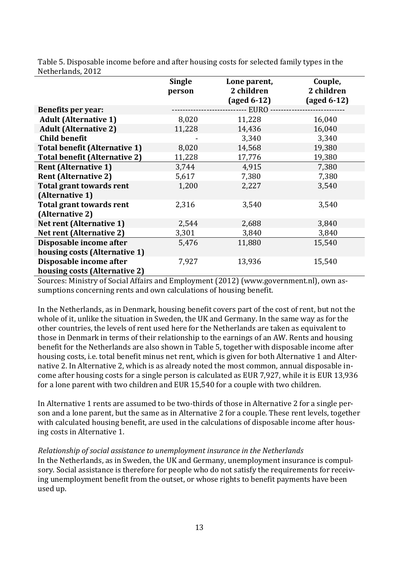| N                                    |                         |                                                                |                                                |
|--------------------------------------|-------------------------|----------------------------------------------------------------|------------------------------------------------|
|                                      | <b>Single</b><br>person | Lone parent,<br>2 children<br>$\left(\text{aged } 6-12\right)$ | Couple,<br>2 children<br>$(\text{aged } 6-12)$ |
| <b>Benefits per year:</b>            |                         | --- EURO --                                                    |                                                |
| <b>Adult (Alternative 1)</b>         | 8,020                   | 11,228                                                         | 16,040                                         |
| <b>Adult (Alternative 2)</b>         | 11,228                  | 14,436                                                         | 16,040                                         |
| <b>Child benefit</b>                 |                         | 3,340                                                          | 3,340                                          |
| <b>Total benefit (Alternative 1)</b> | 8,020                   | 14,568                                                         | 19,380                                         |
| <b>Total benefit (Alternative 2)</b> | 11,228                  | 17,776                                                         | 19,380                                         |
| <b>Rent (Alternative 1)</b>          | 3,744                   | 4,915                                                          | 7,380                                          |
| <b>Rent (Alternative 2)</b>          | 5,617                   | 7,380                                                          | 7,380                                          |
| <b>Total grant towards rent</b>      | 1,200                   | 2,227                                                          | 3,540                                          |
| (Alternative 1)                      |                         |                                                                |                                                |
| Total grant towards rent             | 2,316                   | 3,540                                                          | 3,540                                          |
| (Alternative 2)                      |                         |                                                                |                                                |
| <b>Net rent (Alternative 1)</b>      | 2,544                   | 2,688                                                          | 3,840                                          |
| <b>Net rent (Alternative 2)</b>      | 3,301                   | 3,840                                                          | 3,840                                          |
| Disposable income after              | 5,476                   | 11,880                                                         | 15,540                                         |
| housing costs (Alternative 1)        |                         |                                                                |                                                |
| Disposable income after              | 7,927                   | 13,936                                                         | 15,540                                         |
| housing costs (Alternative 2)        |                         |                                                                |                                                |

Table 5. Disposable income before and after housing costs for selected family types in the Netherlands, 2012

Sources: Ministry of Social Affairs and Employment (2012) (www.government.nl), own assumptions concerning rents and own calculations of housing benefit.

In the Netherlands, as in Denmark, housing benefit covers part of the cost of rent, but not the whole of it, unlike the situation in Sweden, the UK and Germany. In the same way as for the other countries, the levels of rent used here for the Netherlands are taken as equivalent to those in Denmark in terms of their relationship to the earnings of an AW. Rents and housing benefit for the Netherlands are also shown in Table 5, together with disposable income after housing costs, i.e. total benefit minus net rent, which is given for both Alternative 1 and Alternative 2. In Alternative 2, which is as already noted the most common, annual disposable income after housing costs for a single person is calculated as EUR 7,927, while it is EUR 13,936 for a lone parent with two children and EUR 15,540 for a couple with two children.

In Alternative 1 rents are assumed to be two-thirds of those in Alternative 2 for a single person and a lone parent, but the same as in Alternative 2 for a couple. These rent levels, together with calculated housing benefit, are used in the calculations of disposable income after housing costs in Alternative 1.

#### *Relationship of social assistance to unemployment insurance in the Netherlands*

In the Netherlands, as in Sweden, the UK and Germany, unemployment insurance is compulsory. Social assistance is therefore for people who do not satisfy the requirements for receiving unemployment benefit from the outset, or whose rights to benefit payments have been used up.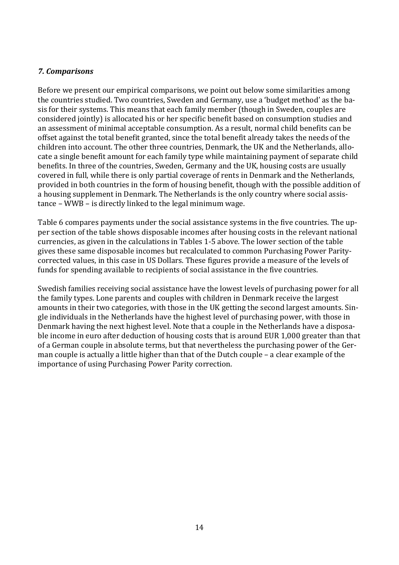#### *7. Comparisons*

Before we present our empirical comparisons, we point out below some similarities among the countries studied. Two countries, Sweden and Germany, use a 'budget method' as the basis for their systems. This means that each family member (though in Sweden, couples are considered jointly) is allocated his or her specific benefit based on consumption studies and an assessment of minimal acceptable consumption. As a result, normal child benefits can be offset against the total benefit granted, since the total benefit already takes the needs of the children into account. The other three countries, Denmark, the UK and the Netherlands, allocate a single benefit amount for each family type while maintaining payment of separate child benefits. In three of the countries, Sweden, Germany and the UK, housing costs are usually covered in full, while there is only partial coverage of rents in Denmark and the Netherlands, provided in both countries in the form of housing benefit, though with the possible addition of a housing supplement in Denmark. The Netherlands is the only country where social assistance – WWB – is directly linked to the legal minimum wage.

Table 6 compares payments under the social assistance systems in the five countries. The upper section of the table shows disposable incomes after housing costs in the relevant national currencies, as given in the calculations in Tables 1-5 above. The lower section of the table gives these same disposable incomes but recalculated to common Purchasing Power Paritycorrected values, in this case in US Dollars. These figures provide a measure of the levels of funds for spending available to recipients of social assistance in the five countries.

Swedish families receiving social assistance have the lowest levels of purchasing power for all the family types. Lone parents and couples with children in Denmark receive the largest amounts in their two categories, with those in the UK getting the second largest amounts. Single individuals in the Netherlands have the highest level of purchasing power, with those in Denmark having the next highest level. Note that a couple in the Netherlands have a disposable income in euro after deduction of housing costs that is around EUR 1,000 greater than that of a German couple in absolute terms, but that nevertheless the purchasing power of the German couple is actually a little higher than that of the Dutch couple – a clear example of the importance of using Purchasing Power Parity correction.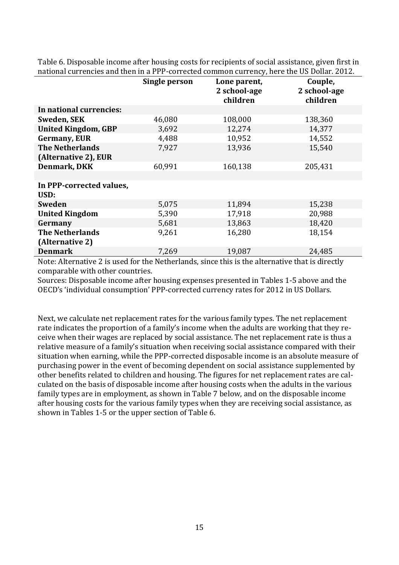|                            | Single person | Lone parent, | Couple,      |
|----------------------------|---------------|--------------|--------------|
|                            |               | 2 school-age | 2 school-age |
|                            |               |              |              |
|                            |               | children     | children     |
| In national currencies:    |               |              |              |
| <b>Sweden, SEK</b>         | 46,080        | 108,000      | 138,360      |
| <b>United Kingdom, GBP</b> | 3,692         | 12,274       | 14,377       |
| <b>Germany, EUR</b>        | 4,488         | 10,952       | 14,552       |
| <b>The Netherlands</b>     | 7,927         | 13,936       | 15,540       |
| (Alternative 2), EUR       |               |              |              |
| <b>Denmark, DKK</b>        | 60,991        | 160,138      | 205,431      |
|                            |               |              |              |
| In PPP-corrected values,   |               |              |              |
| USD:                       |               |              |              |
| <b>Sweden</b>              | 5,075         | 11,894       | 15,238       |
| <b>United Kingdom</b>      | 5,390         | 17,918       | 20,988       |
| Germany                    | 5,681         | 13,863       | 18,420       |
| <b>The Netherlands</b>     | 9,261         | 16,280       | 18,154       |
| (Alternative 2)            |               |              |              |
| <b>Denmark</b>             | 7,269         | 19,087       | 24,485       |

Table 6. Disposable income after housing costs for recipients of social assistance, given first in national currencies and then in a PPP-corrected common currency, here the US Dollar. 2012.

Note: Alternative 2 is used for the Netherlands, since this is the alternative that is directly comparable with other countries.

Sources: Disposable income after housing expenses presented in Tables 1-5 above and the OECD's 'individual consumption' PPP-corrected currency rates for 2012 in US Dollars.

Next, we calculate net replacement rates for the various family types. The net replacement rate indicates the proportion of a family's income when the adults are working that they receive when their wages are replaced by social assistance. The net replacement rate is thus a relative measure of a family's situation when receiving social assistance compared with their situation when earning, while the PPP-corrected disposable income is an absolute measure of purchasing power in the event of becoming dependent on social assistance supplemented by other benefits related to children and housing. The figures for net replacement rates are calculated on the basis of disposable income after housing costs when the adults in the various family types are in employment, as shown in Table 7 below, and on the disposable income after housing costs for the various family types when they are receiving social assistance, as shown in Tables 1-5 or the upper section of Table 6.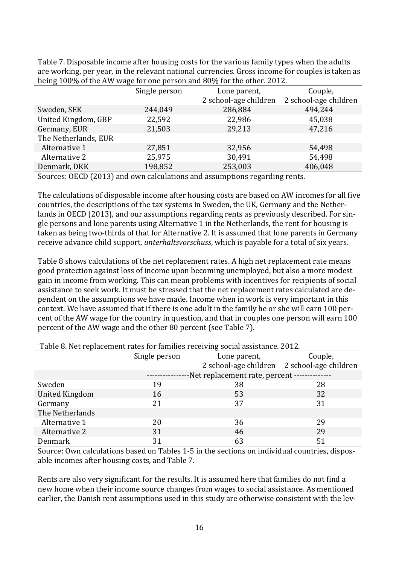Table 7. Disposable income after housing costs for the various family types when the adults are working, per year, in the relevant national currencies. Gross income for couples is taken as being 100% of the AW wage for one person and 80% for the other. 2012.

|                      | Single person | Lone parent,          | Couple,               |
|----------------------|---------------|-----------------------|-----------------------|
|                      |               | 2 school-age children | 2 school-age children |
| Sweden, SEK          | 244,049       | 286,884               | 494,244               |
| United Kingdom, GBP  | 22,592        | 22,986                | 45,038                |
| Germany, EUR         | 21,503        | 29,213                | 47,216                |
| The Netherlands, EUR |               |                       |                       |
| Alternative 1        | 27,851        | 32,956                | 54,498                |
| Alternative 2        | 25,975        | 30,491                | 54,498                |
| Denmark, DKK         | 198,852       | 253,003               | 406,048               |

Sources: OECD (2013) and own calculations and assumptions regarding rents.

The calculations of disposable income after housing costs are based on AW incomes for all five countries, the descriptions of the tax systems in Sweden, the UK, Germany and the Netherlands in OECD (2013), and our assumptions regarding rents as previously described. For single persons and lone parents using Alternative 1 in the Netherlands, the rent for housing is taken as being two-thirds of that for Alternative 2. It is assumed that lone parents in Germany receive advance child support, *unterhaltsvorschuss*, which is payable for a total of six years.

Table 8 shows calculations of the net replacement rates. A high net replacement rate means good protection against loss of income upon becoming unemployed, but also a more modest gain in income from working. This can mean problems with incentives for recipients of social assistance to seek work. It must be stressed that the net replacement rates calculated are dependent on the assumptions we have made. Income when in work is very important in this context. We have assumed that if there is one adult in the family he or she will earn 100 percent of the AW wage for the country in question, and that in couples one person will earn 100 percent of the AW wage and the other 80 percent (see Table 7).

|                       | Single person                                 | Lone parent,                                | Couple, |
|-----------------------|-----------------------------------------------|---------------------------------------------|---------|
|                       |                                               | 2 school-age children 2 school-age children |         |
|                       | -Net replacement rate, percent -------------- |                                             |         |
| Sweden                | 19                                            | 38                                          | 28      |
| <b>United Kingdom</b> | 16                                            | 53                                          | 32      |
| Germany               | 21                                            | 37                                          | 31      |
| The Netherlands       |                                               |                                             |         |
| Alternative 1         | 20                                            | 36                                          | 29      |
| Alternative 2         | 31                                            | 46                                          | 29      |
| <b>Denmark</b>        | 31                                            | 63                                          | 51      |

Table 8. Net replacement rates for families receiving social assistance. 2012.

Source: Own calculations based on Tables 1-5 in the sections on individual countries, disposable incomes after housing costs, and Table 7.

Rents are also very significant for the results. It is assumed here that families do not find a new home when their income source changes from wages to social assistance. As mentioned earlier, the Danish rent assumptions used in this study are otherwise consistent with the lev-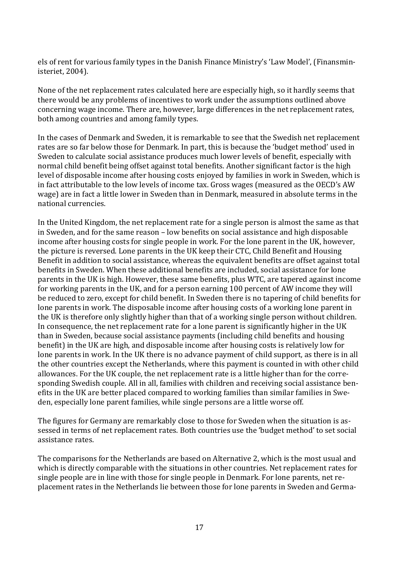els of rent for various family types in the Danish Finance Ministry's 'Law Model', (Finansministeriet, 2004).

None of the net replacement rates calculated here are especially high, so it hardly seems that there would be any problems of incentives to work under the assumptions outlined above concerning wage income. There are, however, large differences in the net replacement rates, both among countries and among family types.

In the cases of Denmark and Sweden, it is remarkable to see that the Swedish net replacement rates are so far below those for Denmark. In part, this is because the 'budget method' used in Sweden to calculate social assistance produces much lower levels of benefit, especially with normal child benefit being offset against total benefits. Another significant factor is the high level of disposable income after housing costs enjoyed by families in work in Sweden, which is in fact attributable to the low levels of income tax. Gross wages (measured as the OECD's AW wage) are in fact a little lower in Sweden than in Denmark, measured in absolute terms in the national currencies.

In the United Kingdom, the net replacement rate for a single person is almost the same as that in Sweden, and for the same reason – low benefits on social assistance and high disposable income after housing costs for single people in work. For the lone parent in the UK, however, the picture is reversed. Lone parents in the UK keep their CTC, Child Benefit and Housing Benefit in addition to social assistance, whereas the equivalent benefits are offset against total benefits in Sweden. When these additional benefits are included, social assistance for lone parents in the UK is high. However, these same benefits, plus WTC, are tapered against income for working parents in the UK, and for a person earning 100 percent of AW income they will be reduced to zero, except for child benefit. In Sweden there is no tapering of child benefits for lone parents in work. The disposable income after housing costs of a working lone parent in the UK is therefore only slightly higher than that of a working single person without children. In consequence, the net replacement rate for a lone parent is significantly higher in the UK than in Sweden, because social assistance payments (including child benefits and housing benefit) in the UK are high, and disposable income after housing costs is relatively low for lone parents in work. In the UK there is no advance payment of child support, as there is in all the other countries except the Netherlands, where this payment is counted in with other child allowances. For the UK couple, the net replacement rate is a little higher than for the corresponding Swedish couple. All in all, families with children and receiving social assistance benefits in the UK are better placed compared to working families than similar families in Sweden, especially lone parent families, while single persons are a little worse off.

The figures for Germany are remarkably close to those for Sweden when the situation is assessed in terms of net replacement rates. Both countries use the 'budget method' to set social assistance rates.

The comparisons for the Netherlands are based on Alternative 2, which is the most usual and which is directly comparable with the situations in other countries. Net replacement rates for single people are in line with those for single people in Denmark. For lone parents, net replacement rates in the Netherlands lie between those for lone parents in Sweden and Germa-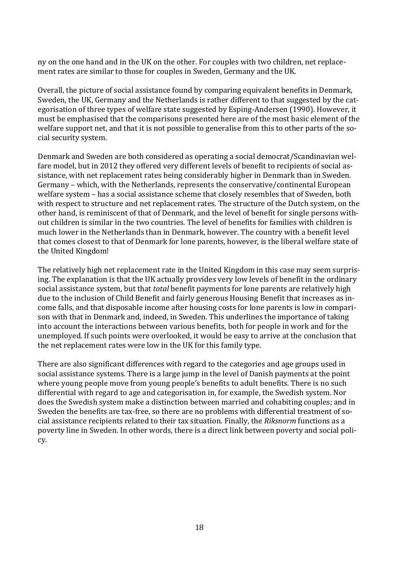ny on the one hand and in the UK on the other. For couples with two children, net replacement rates are similar to those for couples in Sweden, Germany and the UK.

Overall, the picture of social assistance found by comparing equivalent benefits in Denmark, Sweden, the UK, Germany and the Netherlands is rather different to that suggested by the categorisation of three types of welfare state suggested by Esping-Andersen (1990). However, it must be emphasised that the comparisons presented here are of the most basic element of the welfare support net, and that it is not possible to generalise from this to other parts of the social security system.

Denmark and Sweden are both considered as operating a social democrat/Scandinavian welfare model, but in 2012 they offered very different levels of benefit to recipients of social assistance, with net replacement rates being considerably higher in Denmark than in Sweden. Germany – which, with the Netherlands, represents the conservative/continental European welfare system – has a social assistance scheme that closely resembles that of Sweden, both with respect to structure and net replacement rates. The structure of the Dutch system, on the other hand, is reminiscent of that of Denmark, and the level of benefit for single persons without children is similar in the two countries. The level of benefits for families with children is much lower in the Netherlands than in Denmark, however. The country with a benefit level that comes closest to that of Denmark for lone parents, however, is the liberal welfare state of the United Kingdom!

The relatively high net replacement rate in the United Kingdom in this case may seem surprising. The explanation is that the UK actually provides very low levels of benefit in the ordinary social assistance system, but that *total* benefit payments for lone parents are relatively high due to the inclusion of Child Benefit and fairly generous Housing Benefit that increases as income falls, and that disposable income after housing costs for lone parents is low in comparison with that in Denmark and, indeed, in Sweden. This underlines the importance of taking into account the interactions between various benefits, both for people in work and for the unemployed. If such points were overlooked, it would be easy to arrive at the conclusion that the net replacement rates were low in the UK for this family type.

There are also significant differences with regard to the categories and age groups used in social assistance systems. There is a large jump in the level of Danish payments at the point where young people move from young people's benefits to adult benefits. There is no such differential with regard to age and categorisation in, for example, the Swedish system. Nor does the Swedish system make a distinction between married and cohabiting couples; and in Sweden the benefits are tax-free, so there are no problems with differential treatment of social assistance recipients related to their tax situation. Finally, the *Riksnorm* functions as a poverty line in Sweden. In other words, there is a direct link between poverty and social policy.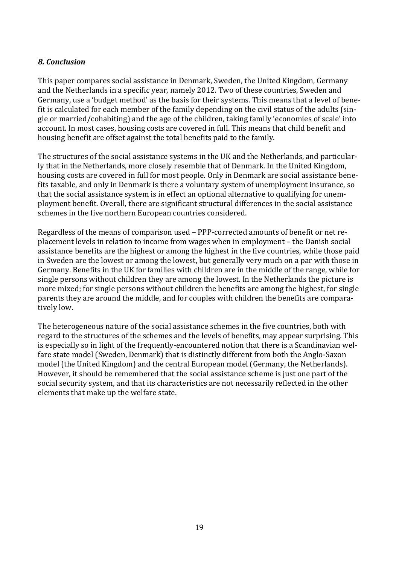#### *8. Conclusion*

This paper compares social assistance in Denmark, Sweden, the United Kingdom, Germany and the Netherlands in a specific year, namely 2012. Two of these countries, Sweden and Germany, use a 'budget method' as the basis for their systems. This means that a level of benefit is calculated for each member of the family depending on the civil status of the adults (single or married/cohabiting) and the age of the children, taking family 'economies of scale' into account. In most cases, housing costs are covered in full. This means that child benefit and housing benefit are offset against the total benefits paid to the family.

The structures of the social assistance systems in the UK and the Netherlands, and particularly that in the Netherlands, more closely resemble that of Denmark. In the United Kingdom, housing costs are covered in full for most people. Only in Denmark are social assistance benefits taxable, and only in Denmark is there a voluntary system of unemployment insurance, so that the social assistance system is in effect an optional alternative to qualifying for unemployment benefit. Overall, there are significant structural differences in the social assistance schemes in the five northern European countries considered.

Regardless of the means of comparison used – PPP-corrected amounts of benefit or net replacement levels in relation to income from wages when in employment – the Danish social assistance benefits are the highest or among the highest in the five countries, while those paid in Sweden are the lowest or among the lowest, but generally very much on a par with those in Germany. Benefits in the UK for families with children are in the middle of the range, while for single persons without children they are among the lowest. In the Netherlands the picture is more mixed; for single persons without children the benefits are among the highest, for single parents they are around the middle, and for couples with children the benefits are comparatively low.

The heterogeneous nature of the social assistance schemes in the five countries, both with regard to the structures of the schemes and the levels of benefits, may appear surprising. This is especially so in light of the frequently-encountered notion that there is a Scandinavian welfare state model (Sweden, Denmark) that is distinctly different from both the Anglo-Saxon model (the United Kingdom) and the central European model (Germany, the Netherlands). However, it should be remembered that the social assistance scheme is just one part of the social security system, and that its characteristics are not necessarily reflected in the other elements that make up the welfare state.